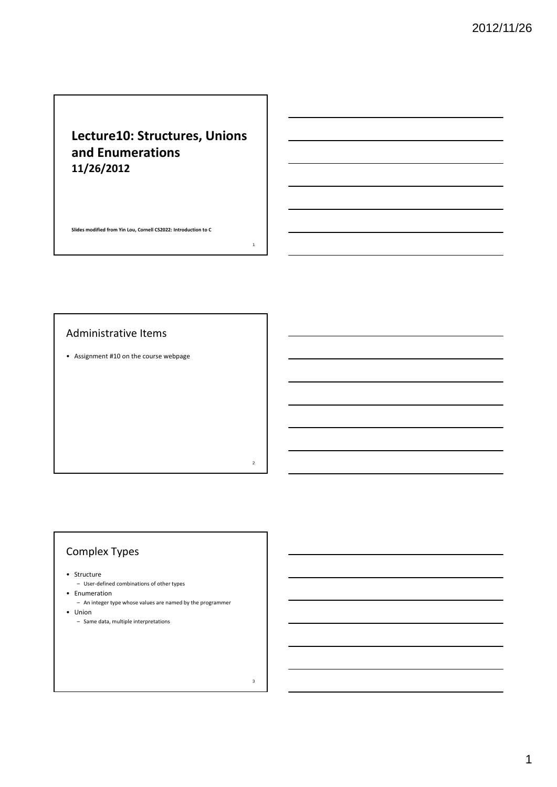# **Lecture10: Structures, Unions and Enumerations 11/26/2012**

1

2

3

**Slides modified from Yin Lou, Cornell CS2022: Introduction to C**

#### Administrative Items

• Assignment #10 on the course webpage

## Complex Types

• Structure

– User‐defined combinations of other types

• Enumeration

- An integer type whose values are named by the programmer • Union
	- Same data, multiple interpretations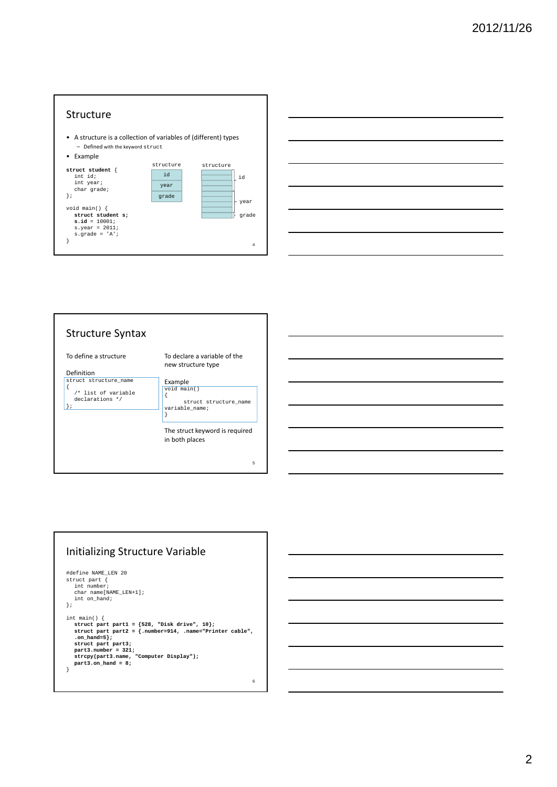



#### Structure Syntax 5 To define a structure Definition struct structure\_name { /\* list of variable declarations \*/  $\vert$  }; To declare a variable of the new structure type Example void main() { struct structure\_name variable\_name; } The struct keyword is required in both places

#### Initializing Structure Variable

```
#define NAME_LEN 20
 struct part {
int number;
      char name[NAME_LEN+1];
int on_hand;
};
 int main() {<br>
struct part part1 = {528, "Disk drive", 10};<br>
struct part part2 = {.number=914, .name="Printer cable",<br>
.on_hand=5};
      struct part part3;
part3.number = 321;
strcpy(part3.name, "Computer Display");
part3.on_hand = 8;
}
```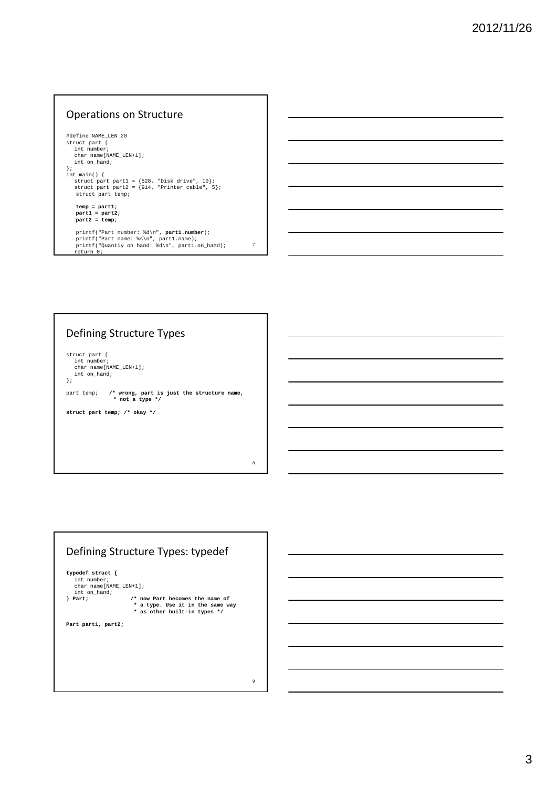#### Operations on Structure

#define NAME\_LEN 20 struct part { int number; char name[NAME\_LEN+1]; int on\_hand; }; int main() { struct part part1 = {528, "Disk drive", 10}; struct part part2 = {914, "Printer cable", 5}; struct part temp; **temp = part1; part1 = part2; part2 = temp;**

printf("Part number: %d\n", **part1.number**); printf("Part name: %s\n", part1.name); printf("Quantiy on hand: %d\n", part1.on\_hand); return 0;

7

8

9

#### Defining Structure Types

struct part { int number; char name[NAME\_LEN+1]; int on\_hand; };

part temp; **/\* wrong, part is just the structure name, \* not a type \*/**

**struct part temp; /\* okay \*/**

# Defining Structure Types: typedef **typedef struct {** int number; char name[NAME\_LEN+1]; int on\_hand; **} Part; /\* now Part becomes the name of \* a type. Use it in the same way \* as other built-in types \*/ Part part1, part2;**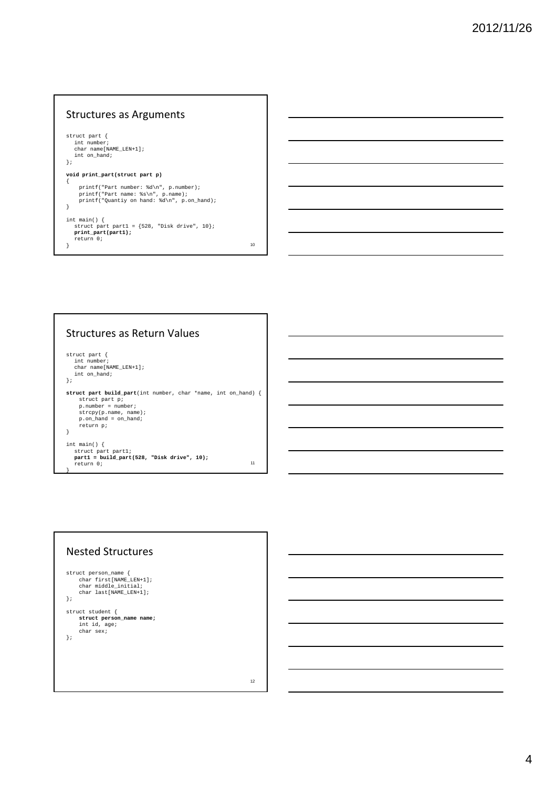#### Structures as Arguments

```
struct part {
    int number;
     char name[NAME_LEN+1];
int on_hand;
};
void print_part(struct part p)
{
       printf("Part number: %d\n", p.number);
printf("Part name: %s\n", p.name);
printf("Quantiy on hand: %d\n", p.on_hand);
}
 int main() {<br>
struct part part1 = {528, "Disk drive", 10};<br>
print_part(part1);<br>
?<br>
}
```
#### Structures as Return Values

}

```
struct part {
int number;
char name[NAME_LEN+1];
   int on_hand;
};
struct part build_part(int number, char *name, int on_hand) {
       struct part p;
p.number = number;
strcpy(p.name, name);
p.on_hand = on_hand;
return p;
}
 int main() {
struct part part1;
part1 = build_part(528, "Disk drive", 10);
    return 0;
                                                                                                11
```
# Nested Structures struct person name { char first[NAME\_LEN+1]; char middle\_initial; char last[NAME\_LEN+1]; }; struct student { **struct person\_name name;** int id, age; char sex; };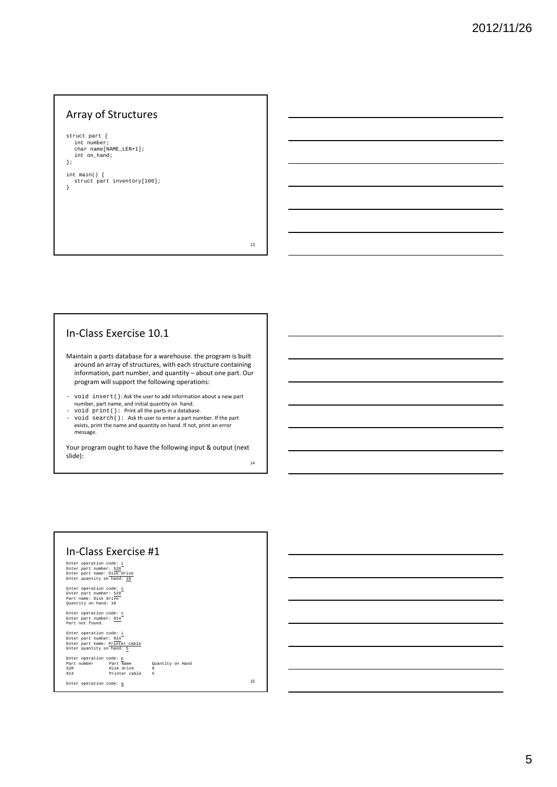### Array of Structures

struct part { int number; char name[NAME\_LEN+1]; int on\_hand; };

int main() { struct part inventory[100]; }

13

#### In‐Class Exercise 10.1

Maintain a parts database for a warehouse. the program is built around an array of structures, with each structure containing information, part number, and quantity – about one part. Our program will support the following operations:

- void insert(): Ask the user to add information about a new part number, part name, and initial quantity on hand.

- void print(): Print all the parts in a database. - void search(): Ask th user to enter a part number. If the part exists, print the name and quantity on hand. If not, print an error message.

Your program ought to have the following input & output (next slide): 14

| In-Class Exercise #1                                                                                             |                                                                     |    |
|------------------------------------------------------------------------------------------------------------------|---------------------------------------------------------------------|----|
| Enter operation code: i<br>Enter part number: 528<br>Enter part name: Disk drive<br>Enter quantity on hand: 10   |                                                                     |    |
| Enter operation code: s<br>Enter part number: 528<br>Part name: Disk drive<br>Quantity on hand: 10               |                                                                     |    |
| Enter operation code: s<br>Enter part number: 914<br>Part not found.                                             |                                                                     |    |
| Enter operation code: i<br>Enter part number: 914<br>Enter part name: Printer cable<br>Enter quantity on hand: 5 |                                                                     |    |
| Enter operation code: p<br>Part number Part Name<br>528<br>Disk drive<br>914                                     | Quantity on Hand<br>$\mathbf{R}$<br>Printer cable<br>$\overline{5}$ |    |
| Enter operation code: q                                                                                          |                                                                     | 15 |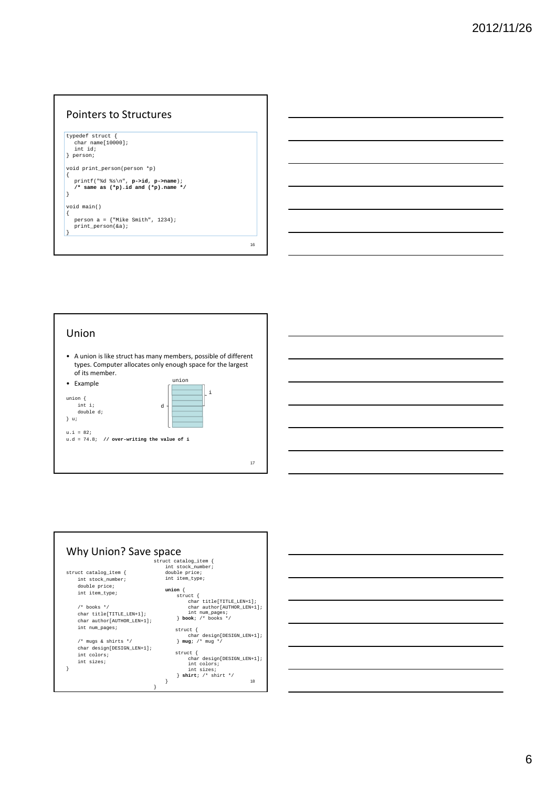#### Pointers to Structures typedef struct { char name[10000]; int id; } person; void print\_person(person \*p) { printf("%d %s\n", **p->id**, **p->name**); **/\* same as (\*p).id and (\*p).name \*/** } void main() { person a = {"Mike Smith", 1234}; print\_person(&a);  $\vert \cdot$ 16

# Union

• A union is like struct has many members, possible of different types. Computer allocates only enough space for the largest of its member.